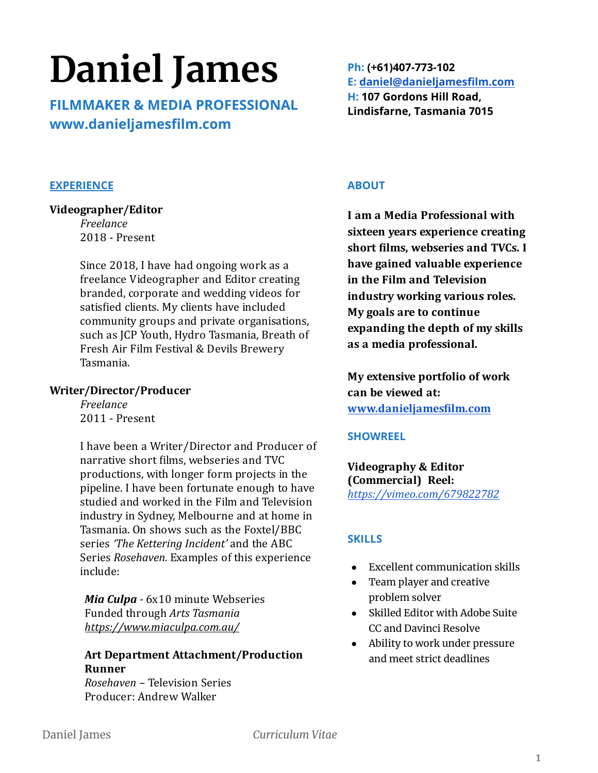# **Daniel James**

**FILMMAKER & MEDIA PROFESSIONAL www.danieljamesfilm.com**

## **EXPERIENCE**

#### **Videographer/Editor**

*Freelance* 2018 - Present

Since 2018, I have had ongoing work as a freelance Videographer and Editor creating branded, corporate and wedding videos for satisfied clients. My clients have included community groups and private organisations, such as JCP Youth, Hydro Tasmania, Breath of Fresh Air Film Festival & Devils Brewery Tasmania.

#### **Writer/Director/Producer**

*Freelance* 2011 - Present

I have been a Writer/Director and Producer of narrative short ilms, webseries and TVC productions, with longer form projects in the pipeline. I have been fortunate enough to have studied and worked in the Film and Television industry in Sydney, Melbourne and at home in Tasmania. On shows such as the Foxtel/BBC series *'The Kettering Incident'* and the ABC Series *Rosehaven.* Examples of this experience include:

*Mia Culpa* - 6x10 minute Webseries Funded through *Arts Tasmania <https://www.miaculpa.com.au/>*

## **Art Department Attachment/Production Runner**

*Rosehaven* – Television Series Producer: Andrew Walker

**Ph: (+61)407-773-102 E: [daniel@danieljamesfilm.com](mailto:daniel@danieljamesfilm.com) H: 107 Gordons Hill Road, Lindisfarne, Tasmania 7015**

## **ABOUT**

**I am a Media Professional with sixteen years experience creating short ilms, webseries and TVCs. I have gained valuable experience in the Film and Television industry working various roles. My goals are to continue expanding the depth of my skills as a media professional.**

**My extensive portfolio of work can be viewed at: [www.danieljamesilm.com](http://www.danieljamesfilm.com/)**

#### **SHOWREEL**

**Videography & Editor (Commercial) Reel:** *<https://vimeo.com/679822782>*

#### **SKILLS**

- Excellent communication skills
- Team player and creative problem solver
- Skilled Editor with Adobe Suite CC and Davinci Resolve
- Ability to work under pressure and meet strict deadlines